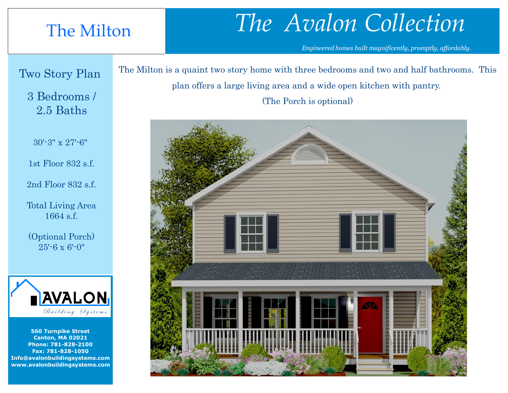## The Milton

## *The Avalon Collection*

*Engineered homes built magnificently, promptly, affordably.* 

## Two Story Plan

3 Bedrooms / 2.5 Baths

30'-3" x 27'-6"

1st Floor 832 s.f.

2nd Floor 832 s.f.

Total Living Area 1664 s.f.

(Optional Porch) 25'-6 x 6'-0"



**560 Turnpike Street Canton, MA 02021 Phone: 781-828-2100 Fax: 781-828-1050 Info@avalonbuildingsystems.com www.avalonbuildingsystems.com** The Milton is a quaint two story home with three bedrooms and two and half bathrooms. This plan offers a large living area and a wide open kitchen with pantry.

(The Porch is optional)

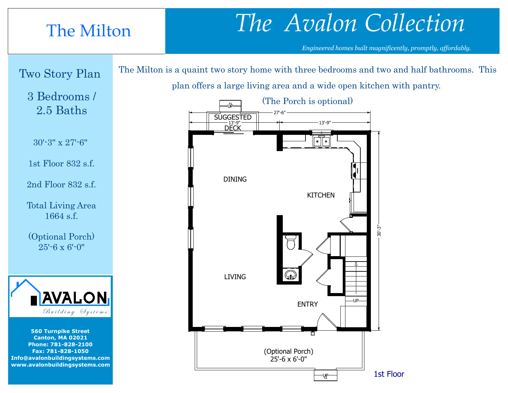